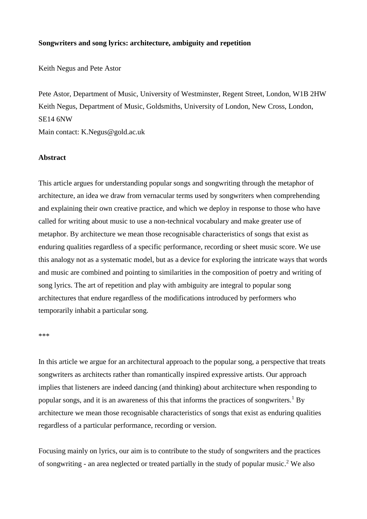#### **Songwriters and song lyrics: architecture, ambiguity and repetition**

Keith Negus and Pete Astor

Pete Astor, Department of Music, University of Westminster, Regent Street, London, W1B 2HW Keith Negus, Department of Music, Goldsmiths, University of London, New Cross, London, SE14 6NW Main contact: K.Negus@gold.ac.uk

#### **Abstract**

This article argues for understanding popular songs and songwriting through the metaphor of architecture, an idea we draw from vernacular terms used by songwriters when comprehending and explaining their own creative practice, and which we deploy in response to those who have called for writing about music to use a non-technical vocabulary and make greater use of metaphor. By architecture we mean those recognisable characteristics of songs that exist as enduring qualities regardless of a specific performance, recording or sheet music score. We use this analogy not as a systematic model, but as a device for exploring the intricate ways that words and music are combined and pointing to similarities in the composition of poetry and writing of song lyrics. The art of repetition and play with ambiguity are integral to popular song architectures that endure regardless of the modifications introduced by performers who temporarily inhabit a particular song.

\*\*\*

In this article we argue for an architectural approach to the popular song, a perspective that treats songwriters as architects rather than romantically inspired expressive artists. Our approach implies that listeners are indeed dancing (and thinking) about architecture when responding to popular songs, and it is an awareness of this that informs the practices of songwriters.<sup>1</sup> By architecture we mean those recognisable characteristics of songs that exist as enduring qualities regardless of a particular performance, recording or version.

Focusing mainly on lyrics, our aim is to contribute to the study of songwriters and the practices of songwriting - an area neglected or treated partially in the study of popular music.<sup>2</sup> We also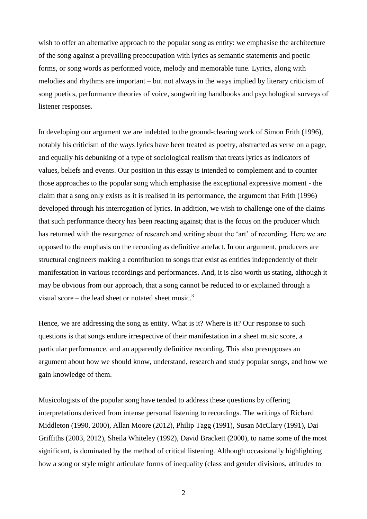wish to offer an alternative approach to the popular song as entity: we emphasise the architecture of the song against a prevailing preoccupation with lyrics as semantic statements and poetic forms, or song words as performed voice, melody and memorable tune. Lyrics, along with melodies and rhythms are important – but not always in the ways implied by literary criticism of song poetics, performance theories of voice, songwriting handbooks and psychological surveys of listener responses.

In developing our argument we are indebted to the ground-clearing work of Simon Frith (1996), notably his criticism of the ways lyrics have been treated as poetry, abstracted as verse on a page, and equally his debunking of a type of sociological realism that treats lyrics as indicators of values, beliefs and events. Our position in this essay is intended to complement and to counter those approaches to the popular song which emphasise the exceptional expressive moment - the claim that a song only exists as it is realised in its performance, the argument that Frith (1996) developed through his interrogation of lyrics. In addition, we wish to challenge one of the claims that such performance theory has been reacting against; that is the focus on the producer which has returned with the resurgence of research and writing about the 'art' of recording. Here we are opposed to the emphasis on the recording as definitive artefact. In our argument, producers are structural engineers making a contribution to songs that exist as entities independently of their manifestation in various recordings and performances. And, it is also worth us stating, although it may be obvious from our approach, that a song cannot be reduced to or explained through a visual score – the lead sheet or notated sheet music.<sup>3</sup>

Hence, we are addressing the song as entity. What is it? Where is it? Our response to such questions is that songs endure irrespective of their manifestation in a sheet music score, a particular performance, and an apparently definitive recording. This also presupposes an argument about how we should know, understand, research and study popular songs, and how we gain knowledge of them.

Musicologists of the popular song have tended to address these questions by offering interpretations derived from intense personal listening to recordings. The writings of Richard Middleton (1990, 2000), Allan Moore (2012), Philip Tagg (1991), Susan McClary (1991), Dai Griffiths (2003, 2012), Sheila Whiteley (1992), David Brackett (2000), to name some of the most significant, is dominated by the method of critical listening. Although occasionally highlighting how a song or style might articulate forms of inequality (class and gender divisions, attitudes to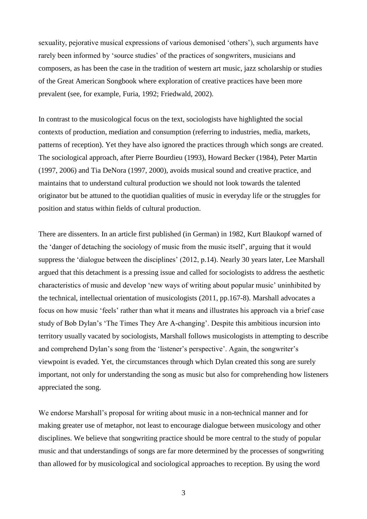sexuality, pejorative musical expressions of various demonised 'others'), such arguments have rarely been informed by 'source studies' of the practices of songwriters, musicians and composers, as has been the case in the tradition of western art music, jazz scholarship or studies of the Great American Songbook where exploration of creative practices have been more prevalent (see, for example, Furia, 1992; Friedwald, 2002).

In contrast to the musicological focus on the text, sociologists have highlighted the social contexts of production, mediation and consumption (referring to industries, media, markets, patterns of reception). Yet they have also ignored the practices through which songs are created. The sociological approach, after Pierre Bourdieu (1993), Howard Becker (1984), Peter Martin (1997, 2006) and Tia DeNora (1997, 2000), avoids musical sound and creative practice, and maintains that to understand cultural production we should not look towards the talented originator but be attuned to the quotidian qualities of music in everyday life or the struggles for position and status within fields of cultural production.

There are dissenters. In an article first published (in German) in 1982, Kurt Blaukopf warned of the 'danger of detaching the sociology of music from the music itself', arguing that it would suppress the 'dialogue between the disciplines' (2012, p.14). Nearly 30 years later, Lee Marshall argued that this detachment is a pressing issue and called for sociologists to address the aesthetic characteristics of music and develop 'new ways of writing about popular music' uninhibited by the technical, intellectual orientation of musicologists (2011, pp.167-8). Marshall advocates a focus on how music 'feels' rather than what it means and illustrates his approach via a brief case study of Bob Dylan's 'The Times They Are A-changing'. Despite this ambitious incursion into territory usually vacated by sociologists, Marshall follows musicologists in attempting to describe and comprehend Dylan's song from the 'listener's perspective'. Again, the songwriter's viewpoint is evaded. Yet, the circumstances through which Dylan created this song are surely important, not only for understanding the song as music but also for comprehending how listeners appreciated the song.

We endorse Marshall's proposal for writing about music in a non-technical manner and for making greater use of metaphor, not least to encourage dialogue between musicology and other disciplines. We believe that songwriting practice should be more central to the study of popular music and that understandings of songs are far more determined by the processes of songwriting than allowed for by musicological and sociological approaches to reception. By using the word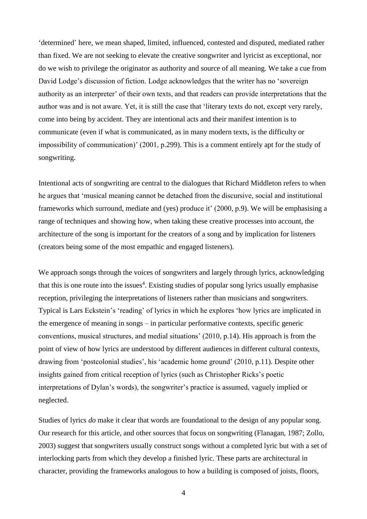'determined' here, we mean shaped, limited, influenced, contested and disputed, mediated rather than fixed. We are not seeking to elevate the creative songwriter and lyricist as exceptional, nor do we wish to privilege the originator as authority and source of all meaning. We take a cue from David Lodge's discussion of fiction. Lodge acknowledges that the writer has no 'sovereign authority as an interpreter' of their own texts, and that readers can provide interpretations that the author was and is not aware. Yet, it is still the case that 'literary texts do not, except very rarely, come into being by accident. They are intentional acts and their manifest intention is to communicate (even if what is communicated, as in many modern texts, is the difficulty or impossibility of communication)' (2001, p.299). This is a comment entirely apt for the study of songwriting.

Intentional acts of songwriting are central to the dialogues that Richard Middleton refers to when he argues that 'musical meaning cannot be detached from the discursive, social and institutional frameworks which surround, mediate and (yes) produce it' (2000, p.9). We will be emphasising a range of techniques and showing how, when taking these creative processes into account, the architecture of the song is important for the creators of a song and by implication for listeners (creators being some of the most empathic and engaged listeners).

We approach songs through the voices of songwriters and largely through lyrics, acknowledging that this is one route into the issues<sup>4</sup>. Existing studies of popular song lyrics usually emphasise reception, privileging the interpretations of listeners rather than musicians and songwriters. Typical is Lars Eckstein's 'reading' of lyrics in which he explores 'how lyrics are implicated in the emergence of meaning in songs – in particular performative contexts, specific generic conventions, musical structures, and medial situations' (2010, p.14). His approach is from the point of view of how lyrics are understood by different audiences in different cultural contexts, drawing from 'postcolonial studies', his 'academic home ground' (2010, p.11). Despite other insights gained from critical reception of lyrics (such as Christopher Ricks's poetic interpretations of Dylan's words), the songwriter's practice is assumed, vaguely implied or neglected.

Studies of lyrics *do* make it clear that words are foundational to the design of any popular song. Our research for this article, and other sources that focus on songwriting (Flanagan, 1987; Zollo, 2003) suggest that songwriters usually construct songs without a completed lyric but with a set of interlocking parts from which they develop a finished lyric. These parts are architectural in character, providing the frameworks analogous to how a building is composed of joists, floors,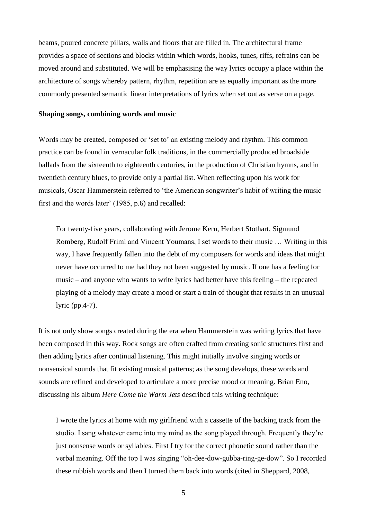beams, poured concrete pillars, walls and floors that are filled in. The architectural frame provides a space of sections and blocks within which words, hooks, tunes, riffs, refrains can be moved around and substituted. We will be emphasising the way lyrics occupy a place within the architecture of songs whereby pattern, rhythm, repetition are as equally important as the more commonly presented semantic linear interpretations of lyrics when set out as verse on a page.

#### **Shaping songs, combining words and music**

Words may be created, composed or 'set to' an existing melody and rhythm. This common practice can be found in vernacular folk traditions, in the commercially produced broadside ballads from the sixteenth to eighteenth centuries, in the production of Christian hymns, and in twentieth century blues, to provide only a partial list. When reflecting upon his work for musicals, Oscar Hammerstein referred to 'the American songwriter's habit of writing the music first and the words later' (1985, p.6) and recalled:

For twenty-five years, collaborating with Jerome Kern, Herbert Stothart, Sigmund Romberg, Rudolf Friml and Vincent Youmans, I set words to their music … Writing in this way, I have frequently fallen into the debt of my composers for words and ideas that might never have occurred to me had they not been suggested by music. If one has a feeling for music – and anyone who wants to write lyrics had better have this feeling – the repeated playing of a melody may create a mood or start a train of thought that results in an unusual lyric (pp.4-7).

It is not only show songs created during the era when Hammerstein was writing lyrics that have been composed in this way. Rock songs are often crafted from creating sonic structures first and then adding lyrics after continual listening. This might initially involve singing words or nonsensical sounds that fit existing musical patterns; as the song develops, these words and sounds are refined and developed to articulate a more precise mood or meaning. Brian Eno, discussing his album *Here Come the Warm Jets* described this writing technique:

I wrote the lyrics at home with my girlfriend with a cassette of the backing track from the studio. I sang whatever came into my mind as the song played through. Frequently they're just nonsense words or syllables. First I try for the correct phonetic sound rather than the verbal meaning. Off the top I was singing "oh-dee-dow-gubba-ring-ge-dow". So I recorded these rubbish words and then I turned them back into words (cited in Sheppard, 2008,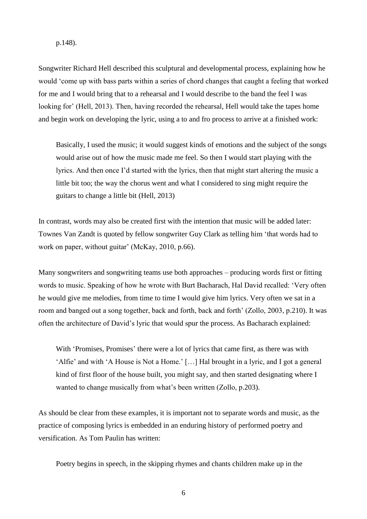#### p.148).

Songwriter Richard Hell described this sculptural and developmental process, explaining how he would 'come up with bass parts within a series of chord changes that caught a feeling that worked for me and I would bring that to a rehearsal and I would describe to the band the feel I was looking for' (Hell, 2013). Then, having recorded the rehearsal, Hell would take the tapes home and begin work on developing the lyric, using a to and fro process to arrive at a finished work:

Basically, I used the music; it would suggest kinds of emotions and the subject of the songs would arise out of how the music made me feel. So then I would start playing with the lyrics. And then once I'd started with the lyrics, then that might start altering the music a little bit too; the way the chorus went and what I considered to sing might require the guitars to change a little bit (Hell, 2013)

In contrast, words may also be created first with the intention that music will be added later: Townes Van Zandt is quoted by fellow songwriter Guy Clark as telling him 'that words had to work on paper, without guitar' (McKay, 2010, p.66).

Many songwriters and songwriting teams use both approaches – producing words first or fitting words to music. Speaking of how he wrote with Burt Bacharach, Hal David recalled: 'Very often he would give me melodies, from time to time I would give him lyrics. Very often we sat in a room and banged out a song together, back and forth, back and forth' (Zollo, 2003, p.210). It was often the architecture of David's lyric that would spur the process. As Bacharach explained:

With 'Promises, Promises' there were a lot of lyrics that came first, as there was with 'Alfie' and with 'A House is Not a Home.' […] Hal brought in a lyric, and I got a general kind of first floor of the house built, you might say, and then started designating where I wanted to change musically from what's been written (Zollo, p.203).

As should be clear from these examples, it is important not to separate words and music, as the practice of composing lyrics is embedded in an enduring history of performed poetry and versification. As Tom Paulin has written:

Poetry begins in speech, in the skipping rhymes and chants children make up in the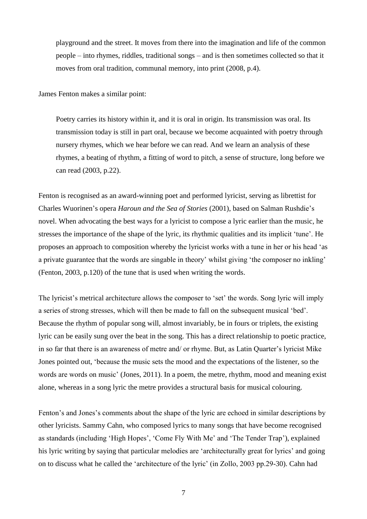playground and the street. It moves from there into the imagination and life of the common people – into rhymes, riddles, traditional songs – and is then sometimes collected so that it moves from oral tradition, communal memory, into print (2008, p.4).

James Fenton makes a similar point:

Poetry carries its history within it, and it is oral in origin. Its transmission was oral. Its transmission today is still in part oral, because we become acquainted with poetry through nursery rhymes, which we hear before we can read. And we learn an analysis of these rhymes, a beating of rhythm, a fitting of word to pitch, a sense of structure, long before we can read (2003, p.22).

Fenton is recognised as an award-winning poet and performed lyricist, serving as librettist for Charles Wuorinen's opera *Haroun and the Sea of Stories* (2001), based on Salman Rushdie's novel. When advocating the best ways for a lyricist to compose a lyric earlier than the music, he stresses the importance of the shape of the lyric, its rhythmic qualities and its implicit 'tune'. He proposes an approach to composition whereby the lyricist works with a tune in her or his head 'as a private guarantee that the words are singable in theory' whilst giving 'the composer no inkling' (Fenton, 2003, p.120) of the tune that is used when writing the words.

The lyricist's metrical architecture allows the composer to 'set' the words. Song lyric will imply a series of strong stresses, which will then be made to fall on the subsequent musical 'bed'. Because the rhythm of popular song will, almost invariably, be in fours or triplets, the existing lyric can be easily sung over the beat in the song. This has a direct relationship to poetic practice, in so far that there is an awareness of metre and/ or rhyme. But, as Latin Quarter's lyricist Mike Jones pointed out, 'because the music sets the mood and the expectations of the listener, so the words are words on music' (Jones, 2011). In a poem, the metre, rhythm, mood and meaning exist alone, whereas in a song lyric the metre provides a structural basis for musical colouring.

Fenton's and Jones's comments about the shape of the lyric are echoed in similar descriptions by other lyricists. Sammy Cahn, who composed lyrics to many songs that have become recognised as standards (including 'High Hopes', 'Come Fly With Me' and 'The Tender Trap'), explained his lyric writing by saying that particular melodies are 'architecturally great for lyrics' and going on to discuss what he called the 'architecture of the lyric' (in Zollo, 2003 pp.29-30). Cahn had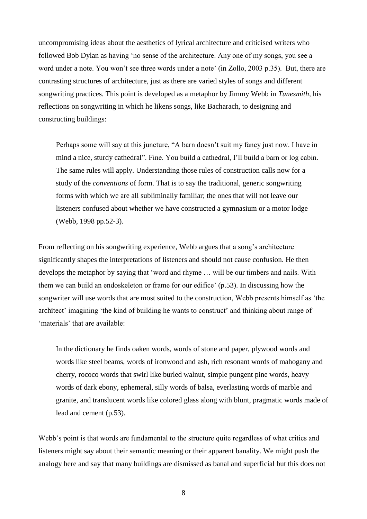uncompromising ideas about the aesthetics of lyrical architecture and criticised writers who followed Bob Dylan as having 'no sense of the architecture. Any one of my songs, you see a word under a note. You won't see three words under a note' (in Zollo, 2003 p.35). But, there are contrasting structures of architecture, just as there are varied styles of songs and different songwriting practices. This point is developed as a metaphor by Jimmy Webb in *Tunesmith,* his reflections on songwriting in which he likens songs, like Bacharach, to designing and constructing buildings:

Perhaps some will say at this juncture, "A barn doesn't suit my fancy just now. I have in mind a nice, sturdy cathedral". Fine. You build a cathedral, I'll build a barn or log cabin. The same rules will apply. Understanding those rules of construction calls now for a study of the *conventions* of form. That is to say the traditional, generic songwriting forms with which we are all subliminally familiar; the ones that will not leave our listeners confused about whether we have constructed a gymnasium or a motor lodge (Webb, 1998 pp.52-3).

From reflecting on his songwriting experience, Webb argues that a song's architecture significantly shapes the interpretations of listeners and should not cause confusion. He then develops the metaphor by saying that 'word and rhyme … will be our timbers and nails. With them we can build an endoskeleton or frame for our edifice' (p.53). In discussing how the songwriter will use words that are most suited to the construction, Webb presents himself as 'the architect' imagining 'the kind of building he wants to construct' and thinking about range of 'materials' that are available:

In the dictionary he finds oaken words, words of stone and paper, plywood words and words like steel beams, words of ironwood and ash, rich resonant words of mahogany and cherry, rococo words that swirl like burled walnut, simple pungent pine words, heavy words of dark ebony, ephemeral, silly words of balsa, everlasting words of marble and granite, and translucent words like colored glass along with blunt, pragmatic words made of lead and cement (p.53).

Webb's point is that words are fundamental to the structure quite regardless of what critics and listeners might say about their semantic meaning or their apparent banality. We might push the analogy here and say that many buildings are dismissed as banal and superficial but this does not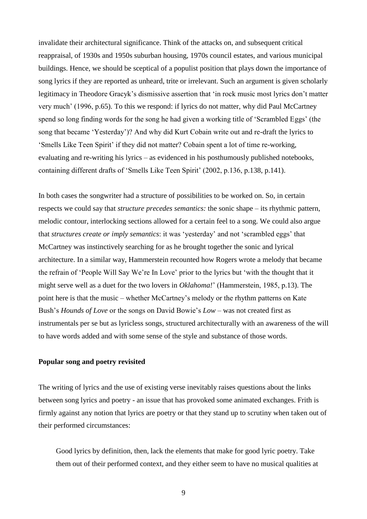invalidate their architectural significance. Think of the attacks on, and subsequent critical reappraisal, of 1930s and 1950s suburban housing, 1970s council estates, and various municipal buildings. Hence, we should be sceptical of a populist position that plays down the importance of song lyrics if they are reported as unheard, trite or irrelevant. Such an argument is given scholarly legitimacy in Theodore Gracyk's dismissive assertion that 'in rock music most lyrics don't matter very much' (1996, p.65). To this we respond: if lyrics do not matter, why did Paul McCartney spend so long finding words for the song he had given a working title of 'Scrambled Eggs' (the song that became 'Yesterday')? And why did Kurt Cobain write out and re-draft the lyrics to 'Smells Like Teen Spirit' if they did not matter? Cobain spent a lot of time re-working, evaluating and re-writing his lyrics – as evidenced in his posthumously published notebooks, containing different drafts of 'Smells Like Teen Spirit' (2002, p.136, p.138, p.141).

In both cases the songwriter had a structure of possibilities to be worked on. So, in certain respects we could say that *structure precedes semantics:* the sonic shape – its rhythmic pattern, melodic contour, interlocking sections allowed for a certain feel to a song. We could also argue that *structures create or imply semantics*: it was 'yesterday' and not 'scrambled eggs' that McCartney was instinctively searching for as he brought together the sonic and lyrical architecture. In a similar way, Hammerstein recounted how Rogers wrote a melody that became the refrain of 'People Will Say We're In Love' prior to the lyrics but 'with the thought that it might serve well as a duet for the two lovers in *Oklahoma!*' (Hammerstein, 1985, p.13). The point here is that the music – whether McCartney's melody or the rhythm patterns on Kate Bush's *Hounds of Love* or the songs on David Bowie's *Low* – was not created first as instrumentals per se but as lyricless songs, structured architecturally with an awareness of the will to have words added and with some sense of the style and substance of those words.

# **Popular song and poetry revisited**

The writing of lyrics and the use of existing verse inevitably raises questions about the links between song lyrics and poetry - an issue that has provoked some animated exchanges. Frith is firmly against any notion that lyrics are poetry or that they stand up to scrutiny when taken out of their performed circumstances:

Good lyrics by definition, then, lack the elements that make for good lyric poetry. Take them out of their performed context, and they either seem to have no musical qualities at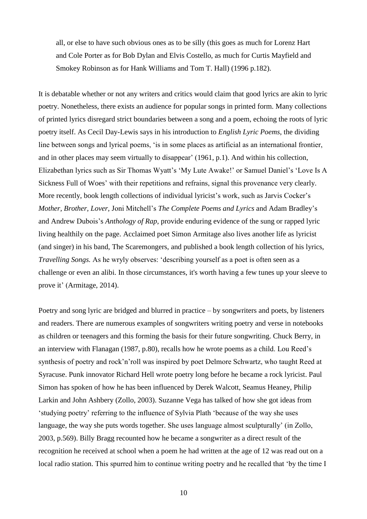all, or else to have such obvious ones as to be silly (this goes as much for Lorenz Hart and Cole Porter as for Bob Dylan and Elvis Costello, as much for Curtis Mayfield and Smokey Robinson as for Hank Williams and Tom T. Hall) (1996 p.182).

It is debatable whether or not any writers and critics would claim that good lyrics are akin to lyric poetry. Nonetheless, there exists an audience for popular songs in printed form. Many collections of printed lyrics disregard strict boundaries between a song and a poem, echoing the roots of lyric poetry itself. As Cecil Day-Lewis says in his introduction to *English Lyric Poems*, the dividing line between songs and lyrical poems, 'is in some places as artificial as an international frontier, and in other places may seem virtually to disappear' (1961, p.1). And within his collection, Elizabethan lyrics such as Sir Thomas Wyatt's 'My Lute Awake!' or Samuel Daniel's 'Love Is A Sickness Full of Woes' with their repetitions and refrains, signal this provenance very clearly. More recently, book length collections of individual lyricist's work, such as Jarvis Cocker's *Mother, Brother, Lover,* Joni Mitchell's *The Complete Poems and Lyrics* and Adam Bradley's and Andrew Dubois's *Anthology of Rap*, provide enduring evidence of the sung or rapped lyric living healthily on the page. Acclaimed poet Simon Armitage also lives another life as lyricist (and singer) in his band, The Scaremongers, and published a book length collection of his lyrics, *Travelling Songs.* As he wryly observes: 'describing yourself as a poet is often seen as a challenge or even an alibi. In those circumstances, it's worth having a few tunes up your sleeve to prove it' (Armitage, 2014).

Poetry and song lyric are bridged and blurred in practice – by songwriters and poets, by listeners and readers. There are numerous examples of songwriters writing poetry and verse in notebooks as children or teenagers and this forming the basis for their future songwriting. Chuck Berry, in an interview with Flanagan (1987, p.80), recalls how he wrote poems as a child. Lou Reed's synthesis of poetry and rock'n'roll was inspired by poet Delmore Schwartz, who taught Reed at Syracuse. Punk innovator Richard Hell wrote poetry long before he became a rock lyricist. Paul Simon has spoken of how he has been influenced by Derek Walcott, Seamus Heaney, Philip Larkin and John Ashbery (Zollo, 2003). Suzanne Vega has talked of how she got ideas from 'studying poetry' referring to the influence of Sylvia Plath 'because of the way she uses language, the way she puts words together. She uses language almost sculpturally' (in Zollo, 2003, p.569). Billy Bragg recounted how he became a songwriter as a direct result of the recognition he received at school when a poem he had written at the age of 12 was read out on a local radio station. This spurred him to continue writing poetry and he recalled that 'by the time I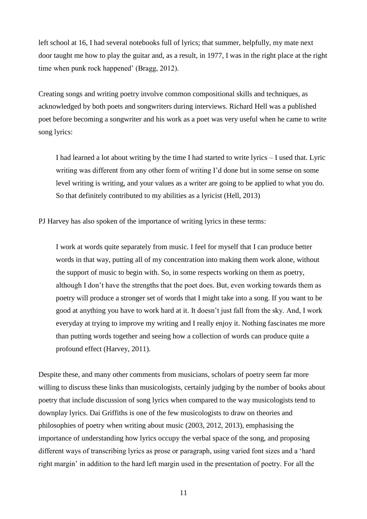left school at 16, I had several notebooks full of lyrics; that summer, helpfully, my mate next door taught me how to play the guitar and, as a result, in 1977, I was in the right place at the right time when punk rock happened' (Bragg, 2012).

Creating songs and writing poetry involve common compositional skills and techniques, as acknowledged by both poets and songwriters during interviews. Richard Hell was a published poet before becoming a songwriter and his work as a poet was very useful when he came to write song lyrics:

I had learned a lot about writing by the time I had started to write lyrics – I used that. Lyric writing was different from any other form of writing I'd done but in some sense on some level writing is writing, and your values as a writer are going to be applied to what you do. So that definitely contributed to my abilities as a lyricist (Hell, 2013)

PJ Harvey has also spoken of the importance of writing lyrics in these terms:

I work at words quite separately from music. I feel for myself that I can produce better words in that way, putting all of my concentration into making them work alone, without the support of music to begin with. So, in some respects working on them as poetry, although I don't have the strengths that the poet does. But, even working towards them as poetry will produce a stronger set of words that I might take into a song. If you want to be good at anything you have to work hard at it. It doesn't just fall from the sky. And, I work everyday at trying to improve my writing and I really enjoy it. Nothing fascinates me more than putting words together and seeing how a collection of words can produce quite a profound effect (Harvey, 2011).

Despite these, and many other comments from musicians, scholars of poetry seem far more willing to discuss these links than musicologists, certainly judging by the number of books about poetry that include discussion of song lyrics when compared to the way musicologists tend to downplay lyrics. Dai Griffiths is one of the few musicologists to draw on theories and philosophies of poetry when writing about music (2003, 2012, 2013), emphasising the importance of understanding how lyrics occupy the verbal space of the song, and proposing different ways of transcribing lyrics as prose or paragraph, using varied font sizes and a 'hard right margin' in addition to the hard left margin used in the presentation of poetry. For all the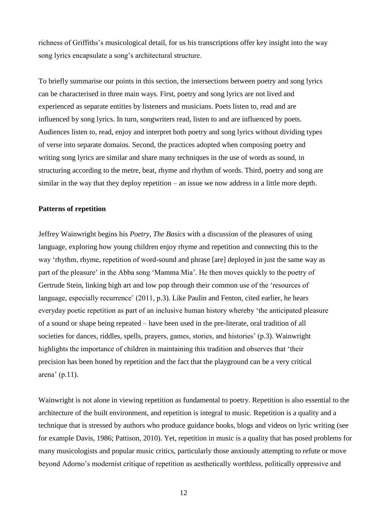richness of Griffiths's musicological detail, for us his transcriptions offer key insight into the way song lyrics encapsulate a song's architectural structure.

To briefly summarise our points in this section, the intersections between poetry and song lyrics can be characterised in three main ways. First, poetry and song lyrics are not lived and experienced as separate entities by listeners and musicians. Poets listen to, read and are influenced by song lyrics. In turn, songwriters read, listen to and are influenced by poets. Audiences listen to, read, enjoy and interpret both poetry and song lyrics without dividing types of verse into separate domains. Second, the practices adopted when composing poetry and writing song lyrics are similar and share many techniques in the use of words as sound, in structuring according to the metre, beat, rhyme and rhythm of words. Third, poetry and song are similar in the way that they deploy repetition – an issue we now address in a little more depth.

# **Patterns of repetition**

Jeffrey Wainwright begins his *Poetry, The Basics* with a discussion of the pleasures of using language, exploring how young children enjoy rhyme and repetition and connecting this to the way 'rhythm, rhyme, repetition of word-sound and phrase [are] deployed in just the same way as part of the pleasure' in the Abba song 'Mamma Mia'. He then moves quickly to the poetry of Gertrude Stein, linking high art and low pop through their common use of the 'resources of language, especially recurrence' (2011, p.3). Like Paulin and Fenton, cited earlier, he hears everyday poetic repetition as part of an inclusive human history whereby 'the anticipated pleasure of a sound or shape being repeated – have been used in the pre-literate, oral tradition of all societies for dances, riddles, spells, prayers, games, stories, and histories' (p.3). Wainwright highlights the importance of children in maintaining this tradition and observes that 'their precision has been honed by repetition and the fact that the playground can be a very critical arena' (p.11).

Wainwright is not alone in viewing repetition as fundamental to poetry. Repetition is also essential to the architecture of the built environment, and repetition is integral to music. Repetition is a quality and a technique that is stressed by authors who produce guidance books, blogs and videos on lyric writing (see for example Davis, 1986; Pattison, 2010). Yet, repetition in music is a quality that has posed problems for many musicologists and popular music critics, particularly those anxiously attempting to refute or move beyond Adorno's modernist critique of repetition as aesthetically worthless, politically oppressive and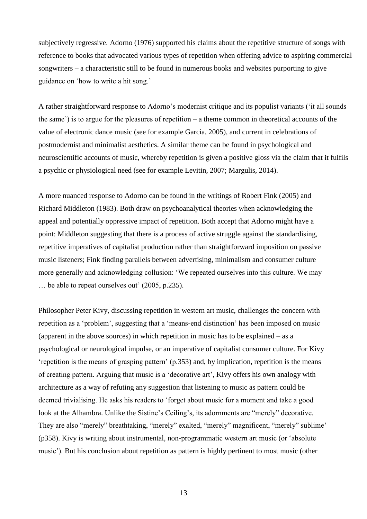subjectively regressive. Adorno (1976) supported his claims about the repetitive structure of songs with reference to books that advocated various types of repetition when offering advice to aspiring commercial songwriters – a characteristic still to be found in numerous books and websites purporting to give guidance on 'how to write a hit song.'

A rather straightforward response to Adorno's modernist critique and its populist variants ('it all sounds the same') is to argue for the pleasures of repetition – a theme common in theoretical accounts of the value of electronic dance music (see for example Garcia, 2005), and current in celebrations of postmodernist and minimalist aesthetics. A similar theme can be found in psychological and neuroscientific accounts of music, whereby repetition is given a positive gloss via the claim that it fulfils a psychic or physiological need (see for example Levitin, 2007; Margulis, 2014).

A more nuanced response to Adorno can be found in the writings of Robert Fink (2005) and Richard Middleton (1983). Both draw on psychoanalytical theories when acknowledging the appeal and potentially oppressive impact of repetition. Both accept that Adorno might have a point: Middleton suggesting that there is a process of active struggle against the standardising, repetitive imperatives of capitalist production rather than straightforward imposition on passive music listeners; Fink finding parallels between advertising, minimalism and consumer culture more generally and acknowledging collusion: 'We repeated ourselves into this culture. We may … be able to repeat ourselves out' (2005, p.235).

Philosopher Peter Kivy, discussing repetition in western art music, challenges the concern with repetition as a 'problem', suggesting that a 'means-end distinction' has been imposed on music (apparent in the above sources) in which repetition in music has to be explained – as a psychological or neurological impulse, or an imperative of capitalist consumer culture. For Kivy 'repetition is the means of grasping pattern' (p.353) and, by implication, repetition is the means of creating pattern. Arguing that music is a 'decorative art', Kivy offers his own analogy with architecture as a way of refuting any suggestion that listening to music as pattern could be deemed trivialising. He asks his readers to 'forget about music for a moment and take a good look at the Alhambra. Unlike the Sistine's Ceiling's, its adornments are "merely" decorative. They are also "merely" breathtaking, "merely" exalted, "merely" magnificent, "merely" sublime' (p358). Kivy is writing about instrumental, non-programmatic western art music (or 'absolute music'). But his conclusion about repetition as pattern is highly pertinent to most music (other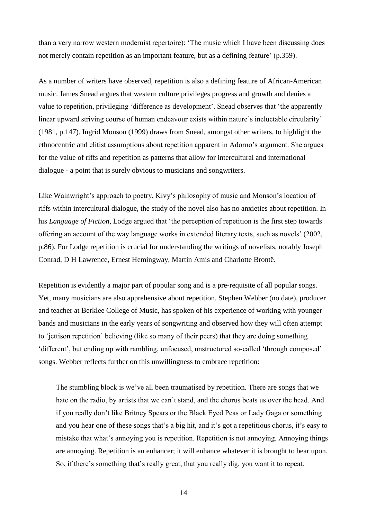than a very narrow western modernist repertoire): 'The music which I have been discussing does not merely contain repetition as an important feature, but as a defining feature' (p.359).

As a number of writers have observed, repetition is also a defining feature of African-American music. James Snead argues that western culture privileges progress and growth and denies a value to repetition, privileging 'difference as development'. Snead observes that 'the apparently linear upward striving course of human endeavour exists within nature's ineluctable circularity' (1981, p.147). Ingrid Monson (1999) draws from Snead, amongst other writers, to highlight the ethnocentric and elitist assumptions about repetition apparent in Adorno's argument. She argues for the value of riffs and repetition as patterns that allow for intercultural and international dialogue - a point that is surely obvious to musicians and songwriters.

Like Wainwright's approach to poetry, Kivy's philosophy of music and Monson's location of riffs within intercultural dialogue, the study of the novel also has no anxieties about repetition. In his *Language of Fiction*, Lodge argued that 'the perception of repetition is the first step towards offering an account of the way language works in extended literary texts, such as novels' (2002, p.86). For Lodge repetition is crucial for understanding the writings of novelists, notably Joseph Conrad, D H Lawrence, Ernest Hemingway, Martin Amis and Charlotte Brontë.

Repetition is evidently a major part of popular song and is a pre-requisite of all popular songs. Yet, many musicians are also apprehensive about repetition. Stephen Webber (no date), producer and teacher at Berklee College of Music, has spoken of his experience of working with younger bands and musicians in the early years of songwriting and observed how they will often attempt to 'jettison repetition' believing (like so many of their peers) that they are doing something 'different', but ending up with rambling, unfocused, unstructured so-called 'through composed' songs. Webber reflects further on this unwillingness to embrace repetition:

The stumbling block is we've all been traumatised by repetition. There are songs that we hate on the radio, by artists that we can't stand, and the chorus beats us over the head. And if you really don't like Britney Spears or the Black Eyed Peas or Lady Gaga or something and you hear one of these songs that's a big hit, and it's got a repetitious chorus, it's easy to mistake that what's annoying you is repetition. Repetition is not annoying. Annoying things are annoying. Repetition is an enhancer; it will enhance whatever it is brought to bear upon. So, if there's something that's really great, that you really dig, you want it to repeat.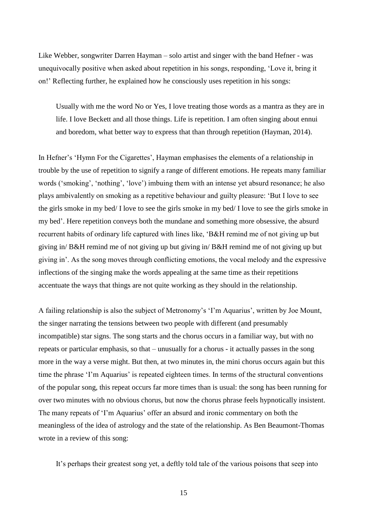Like Webber, songwriter Darren Hayman – solo artist and singer with the band Hefner - was unequivocally positive when asked about repetition in his songs, responding, 'Love it, bring it on!' Reflecting further, he explained how he consciously uses repetition in his songs:

Usually with me the word No or Yes, I love treating those words as a mantra as they are in life. I love Beckett and all those things. Life is repetition. I am often singing about ennui and boredom, what better way to express that than through repetition (Hayman, 2014).

In Hefner's 'Hymn For the Cigarettes', Hayman emphasises the elements of a relationship in trouble by the use of repetition to signify a range of different emotions. He repeats many familiar words ('smoking', 'nothing', 'love') imbuing them with an intense yet absurd resonance; he also plays ambivalently on smoking as a repetitive behaviour and guilty pleasure: 'But I love to see the girls smoke in my bed/ I love to see the girls smoke in my bed/ I love to see the girls smoke in my bed'. Here repetition conveys both the mundane and something more obsessive, the absurd recurrent habits of ordinary life captured with lines like, 'B&H remind me of not giving up but giving in/ B&H remind me of not giving up but giving in/ B&H remind me of not giving up but giving in'. As the song moves through conflicting emotions, the vocal melody and the expressive inflections of the singing make the words appealing at the same time as their repetitions accentuate the ways that things are not quite working as they should in the relationship.

A failing relationship is also the subject of Metronomy's 'I'm Aquarius', written by Joe Mount, the singer narrating the tensions between two people with different (and presumably incompatible) star signs. The song starts and the chorus occurs in a familiar way, but with no repeats or particular emphasis, so that – unusually for a chorus - it actually passes in the song more in the way a verse might. But then, at two minutes in, the mini chorus occurs again but this time the phrase 'I'm Aquarius' is repeated eighteen times. In terms of the structural conventions of the popular song, this repeat occurs far more times than is usual: the song has been running for over two minutes with no obvious chorus, but now the chorus phrase feels hypnotically insistent. The many repeats of 'I'm Aquarius' offer an absurd and ironic commentary on both the meaningless of the idea of astrology and the state of the relationship. As Ben Beaumont-Thomas wrote in a review of this song:

It's perhaps their greatest song yet, a deftly told tale of the various poisons that seep into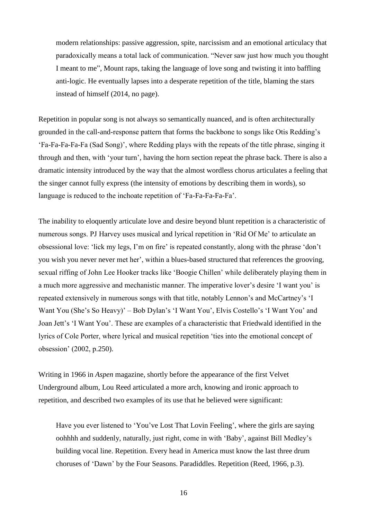modern relationships: passive aggression, spite, narcissism and an emotional articulacy that paradoxically means a total lack of communication. "Never saw just how much you thought I meant to me", Mount raps, taking the language of love song and twisting it into baffling anti-logic. He eventually lapses into a desperate repetition of the title, blaming the stars instead of himself (2014, no page).

Repetition in popular song is not always so semantically nuanced, and is often architecturally grounded in the call-and-response pattern that forms the backbone to songs like Otis Redding's 'Fa-Fa-Fa-Fa-Fa (Sad Song)', where Redding plays with the repeats of the title phrase, singing it through and then, with 'your turn', having the horn section repeat the phrase back. There is also a dramatic intensity introduced by the way that the almost wordless chorus articulates a feeling that the singer cannot fully express (the intensity of emotions by describing them in words), so language is reduced to the inchoate repetition of 'Fa-Fa-Fa-Fa-Fa'.

The inability to eloquently articulate love and desire beyond blunt repetition is a characteristic of numerous songs. PJ Harvey uses musical and lyrical repetition in 'Rid Of Me' to articulate an obsessional love: 'lick my legs, I'm on fire' is repeated constantly, along with the phrase 'don't you wish you never never met her', within a blues-based structured that references the grooving, sexual riffing of John Lee Hooker tracks like 'Boogie Chillen' while deliberately playing them in a much more aggressive and mechanistic manner. The imperative lover's desire 'I want you' is repeated extensively in numerous songs with that title, notably Lennon's and McCartney's 'I Want You (She's So Heavy)' – Bob Dylan's 'I Want You', Elvis Costello's 'I Want You' and Joan Jett's 'I Want You'. These are examples of a characteristic that Friedwald identified in the lyrics of Cole Porter, where lyrical and musical repetition 'ties into the emotional concept of obsession' (2002, p.250).

Writing in 1966 in *Aspen* magazine, shortly before the appearance of the first Velvet Underground album, Lou Reed articulated a more arch, knowing and ironic approach to repetition, and described two examples of its use that he believed were significant:

Have you ever listened to 'You've Lost That Lovin Feeling', where the girls are saying oohhhh and suddenly, naturally, just right, come in with 'Baby', against Bill Medley's building vocal line. Repetition. Every head in America must know the last three drum choruses of 'Dawn' by the Four Seasons. Paradiddles. Repetition (Reed, 1966, p.3).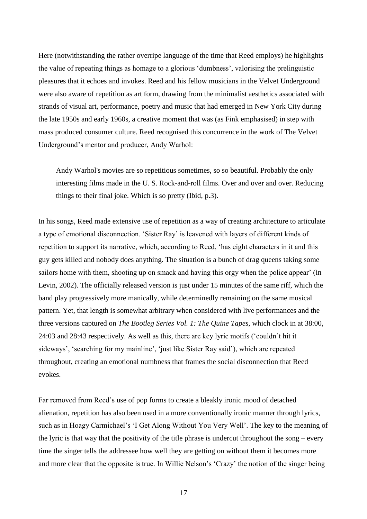Here (notwithstanding the rather overripe language of the time that Reed employs) he highlights the value of repeating things as homage to a glorious 'dumbness', valorising the prelinguistic pleasures that it echoes and invokes. Reed and his fellow musicians in the Velvet Underground were also aware of repetition as art form, drawing from the minimalist aesthetics associated with strands of visual art, performance, poetry and music that had emerged in New York City during the late 1950s and early 1960s, a creative moment that was (as Fink emphasised) in step with mass produced consumer culture. Reed recognised this concurrence in the work of The Velvet Underground's mentor and producer, Andy Warhol:

Andy Warhol's movies are so repetitious sometimes, so so beautiful. Probably the only interesting films made in the U. S. Rock-and-roll films. Over and over and over. Reducing things to their final joke. Which is so pretty (Ibid, p.3).

In his songs, Reed made extensive use of repetition as a way of creating architecture to articulate a type of emotional disconnection. 'Sister Ray' is leavened with layers of different kinds of repetition to support its narrative, which, according to Reed, 'has eight characters in it and this guy gets killed and nobody does anything. The situation is a bunch of drag queens taking some sailors home with them, shooting up on smack and having this orgy when the police appear' (in Levin, 2002). The officially released version is just under 15 minutes of the same riff, which the band play progressively more manically, while determinedly remaining on the same musical pattern. Yet, that length is somewhat arbitrary when considered with live performances and the three versions captured on *The Bootleg Series Vol. 1: The Quine Tapes*, which clock in at 38:00, 24:03 and 28:43 respectively. As well as this, there are key lyric motifs ('couldn't hit it sideways', 'searching for my mainline', 'just like Sister Ray said'), which are repeated throughout, creating an emotional numbness that frames the social disconnection that Reed evokes.

Far removed from Reed's use of pop forms to create a bleakly ironic mood of detached alienation, repetition has also been used in a more conventionally ironic manner through lyrics, such as in Hoagy Carmichael's 'I Get Along Without You Very Well'. The key to the meaning of the lyric is that way that the positivity of the title phrase is undercut throughout the song – every time the singer tells the addressee how well they are getting on without them it becomes more and more clear that the opposite is true. In Willie Nelson's 'Crazy' the notion of the singer being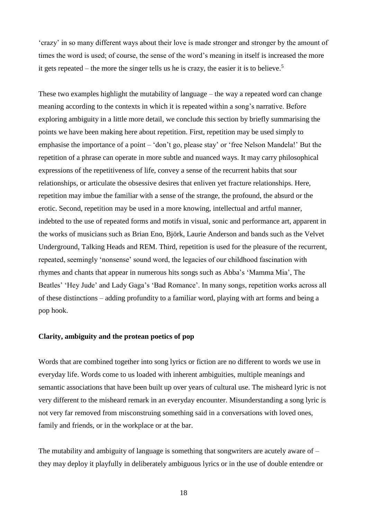'crazy' in so many different ways about their love is made stronger and stronger by the amount of times the word is used; of course, the sense of the word's meaning in itself is increased the more it gets repeated – the more the singer tells us he is crazy, the easier it is to believe.<sup>5</sup>

These two examples highlight the mutability of language – the way a repeated word can change meaning according to the contexts in which it is repeated within a song's narrative. Before exploring ambiguity in a little more detail, we conclude this section by briefly summarising the points we have been making here about repetition. First, repetition may be used simply to emphasise the importance of a point – 'don't go, please stay' or 'free Nelson Mandela!' But the repetition of a phrase can operate in more subtle and nuanced ways. It may carry philosophical expressions of the repetitiveness of life, convey a sense of the recurrent habits that sour relationships, or articulate the obsessive desires that enliven yet fracture relationships. Here, repetition may imbue the familiar with a sense of the strange, the profound, the absurd or the erotic. Second, repetition may be used in a more knowing, intellectual and artful manner, indebted to the use of repeated forms and motifs in visual, sonic and performance art, apparent in the works of musicians such as Brian Eno, Björk, Laurie Anderson and bands such as the Velvet Underground, Talking Heads and REM. Third, repetition is used for the pleasure of the recurrent, repeated, seemingly 'nonsense' sound word, the legacies of our childhood fascination with rhymes and chants that appear in numerous hits songs such as Abba's 'Mamma Mia', The Beatles' 'Hey Jude' and Lady Gaga's 'Bad Romance'. In many songs, repetition works across all of these distinctions – adding profundity to a familiar word, playing with art forms and being a pop hook.

# **Clarity, ambiguity and the protean poetics of pop**

Words that are combined together into song lyrics or fiction are no different to words we use in everyday life. Words come to us loaded with inherent ambiguities, multiple meanings and semantic associations that have been built up over years of cultural use. The misheard lyric is not very different to the misheard remark in an everyday encounter. Misunderstanding a song lyric is not very far removed from misconstruing something said in a conversations with loved ones, family and friends, or in the workplace or at the bar.

The mutability and ambiguity of language is something that songwriters are acutely aware of – they may deploy it playfully in deliberately ambiguous lyrics or in the use of double entendre or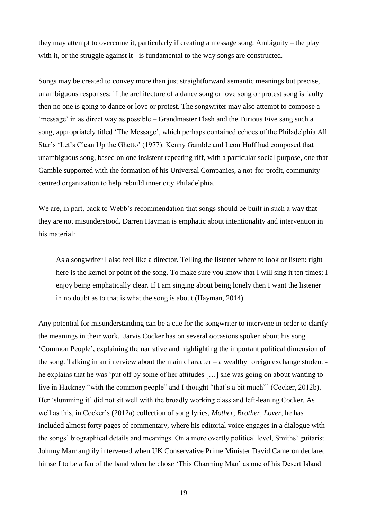they may attempt to overcome it, particularly if creating a message song. Ambiguity – the play with it, or the struggle against it - is fundamental to the way songs are constructed.

Songs may be created to convey more than just straightforward semantic meanings but precise, unambiguous responses: if the architecture of a dance song or love song or protest song is faulty then no one is going to dance or love or protest. The songwriter may also attempt to compose a 'message' in as direct way as possible – Grandmaster Flash and the Furious Five sang such a song, appropriately titled 'The Message', which perhaps contained echoes of the Philadelphia All Star's 'Let's Clean Up the Ghetto' (1977). Kenny Gamble and Leon Huff had composed that unambiguous song, based on one insistent repeating riff, with a particular social purpose, one that Gamble supported with the formation of his Universal Companies, a not-for-profit, communitycentred organization to help rebuild inner city Philadelphia.

We are, in part, back to Webb's recommendation that songs should be built in such a way that they are not misunderstood. Darren Hayman is emphatic about intentionality and intervention in his material:

As a songwriter I also feel like a director. Telling the listener where to look or listen: right here is the kernel or point of the song. To make sure you know that I will sing it ten times; I enjoy being emphatically clear. If I am singing about being lonely then I want the listener in no doubt as to that is what the song is about (Hayman, 2014)

Any potential for misunderstanding can be a cue for the songwriter to intervene in order to clarify the meanings in their work. Jarvis Cocker has on several occasions spoken about his song 'Common People', explaining the narrative and highlighting the important political dimension of the song. Talking in an interview about the main character – a wealthy foreign exchange student he explains that he was 'put off by some of her attitudes […] she was going on about wanting to live in Hackney "with the common people" and I thought "that's a bit much"' (Cocker, 2012b). Her 'slumming it' did not sit well with the broadly working class and left-leaning Cocker. As well as this, in Cocker's (2012a) collection of song lyrics, *Mother, Brother, Lover*, he has included almost forty pages of commentary, where his editorial voice engages in a dialogue with the songs' biographical details and meanings. On a more overtly political level, Smiths' guitarist Johnny Marr angrily intervened when UK Conservative Prime Minister David Cameron declared himself to be a fan of the band when he chose 'This Charming Man' as one of his Desert Island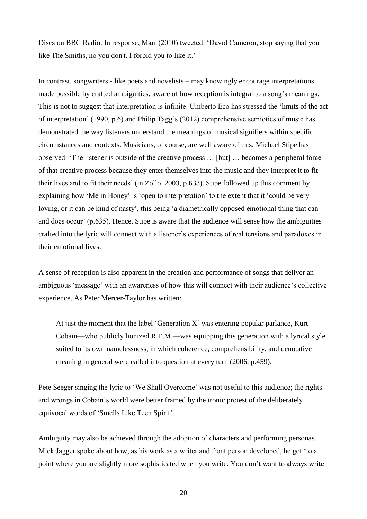Discs on BBC Radio. In response, Marr (2010) tweeted: 'David Cameron, stop saying that you like The Smiths, no you don't. I forbid you to like it.'

In contrast, songwriters - like poets and novelists – may knowingly encourage interpretations made possible by crafted ambiguities, aware of how reception is integral to a song's meanings. This is not to suggest that interpretation is infinite. Umberto Eco has stressed the 'limits of the act of interpretation' (1990, p.6) and Philip Tagg's (2012) comprehensive semiotics of music has demonstrated the way listeners understand the meanings of musical signifiers within specific circumstances and contexts. Musicians, of course, are well aware of this. Michael Stipe has observed: 'The listener is outside of the creative process … [but] … becomes a peripheral force of that creative process because they enter themselves into the music and they interpret it to fit their lives and to fit their needs' (in Zollo, 2003, p.633). Stipe followed up this comment by explaining how 'Me in Honey' is 'open to interpretation' to the extent that it 'could be very loving, or it can be kind of nasty', this being 'a diametrically opposed emotional thing that can and does occur' (p.635). Hence, Stipe is aware that the audience will sense how the ambiguities crafted into the lyric will connect with a listener's experiences of real tensions and paradoxes in their emotional lives.

A sense of reception is also apparent in the creation and performance of songs that deliver an ambiguous 'message' with an awareness of how this will connect with their audience's collective experience. As Peter Mercer-Taylor has written:

At just the moment that the label 'Generation X' was entering popular parlance, Kurt Cobain—who publicly lionized R.E.M.—was equipping this generation with a lyrical style suited to its own namelessness, in which coherence, comprehensibility, and denotative meaning in general were called into question at every turn (2006, p.459).

Pete Seeger singing the lyric to 'We Shall Overcome' was not useful to this audience; the rights and wrongs in Cobain's world were better framed by the ironic protest of the deliberately equivocal words of 'Smells Like Teen Spirit'.

Ambiguity may also be achieved through the adoption of characters and performing personas. Mick Jagger spoke about how, as his work as a writer and front person developed, he got 'to a point where you are slightly more sophisticated when you write. You don't want to always write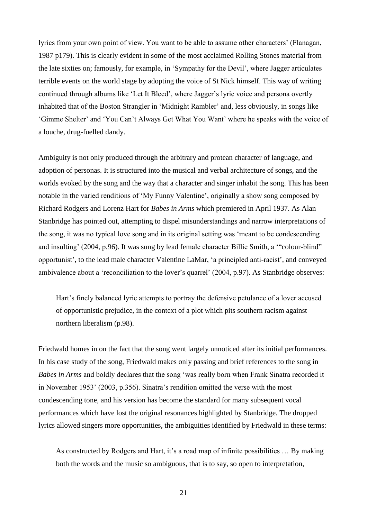lyrics from your own point of view. You want to be able to assume other characters' (Flanagan, 1987 p179). This is clearly evident in some of the most acclaimed Rolling Stones material from the late sixties on; famously, for example, in 'Sympathy for the Devil', where Jagger articulates terrible events on the world stage by adopting the voice of St Nick himself. This way of writing continued through albums like 'Let It Bleed', where Jagger's lyric voice and persona overtly inhabited that of the Boston Strangler in 'Midnight Rambler' and, less obviously, in songs like 'Gimme Shelter' and 'You Can't Always Get What You Want' where he speaks with the voice of a louche, drug-fuelled dandy.

Ambiguity is not only produced through the arbitrary and protean character of language, and adoption of personas. It is structured into the musical and verbal architecture of songs, and the worlds evoked by the song and the way that a character and singer inhabit the song. This has been notable in the varied renditions of 'My Funny Valentine', originally a show song composed by Richard Rodgers and Lorenz Hart for *Babes in Arms* which premiered in April 1937. As Alan Stanbridge has pointed out, attempting to dispel misunderstandings and narrow interpretations of the song, it was no typical love song and in its original setting was 'meant to be condescending and insulting' (2004, p.96). It was sung by lead female character Billie Smith, a '"colour-blind" opportunist', to the lead male character Valentine LaMar, 'a principled anti-racist', and conveyed ambivalence about a 'reconciliation to the lover's quarrel' (2004, p.97). As Stanbridge observes:

Hart's finely balanced lyric attempts to portray the defensive petulance of a lover accused of opportunistic prejudice, in the context of a plot which pits southern racism against northern liberalism (p.98).

Friedwald homes in on the fact that the song went largely unnoticed after its initial performances. In his case study of the song, Friedwald makes only passing and brief references to the song in *Babes in Arms* and boldly declares that the song 'was really born when Frank Sinatra recorded it in November 1953' (2003, p.356). Sinatra's rendition omitted the verse with the most condescending tone, and his version has become the standard for many subsequent vocal performances which have lost the original resonances highlighted by Stanbridge. The dropped lyrics allowed singers more opportunities, the ambiguities identified by Friedwald in these terms:

As constructed by Rodgers and Hart, it's a road map of infinite possibilities … By making both the words and the music so ambiguous, that is to say, so open to interpretation,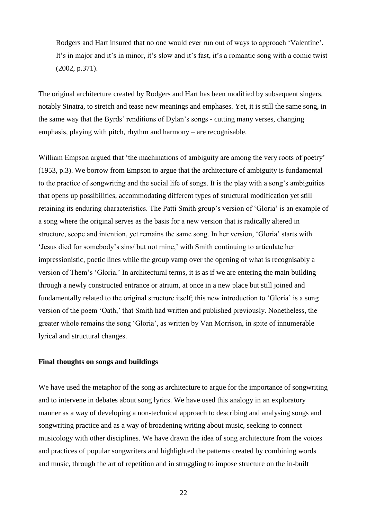Rodgers and Hart insured that no one would ever run out of ways to approach 'Valentine'. It's in major and it's in minor, it's slow and it's fast, it's a romantic song with a comic twist (2002, p.371).

The original architecture created by Rodgers and Hart has been modified by subsequent singers, notably Sinatra, to stretch and tease new meanings and emphases. Yet, it is still the same song, in the same way that the Byrds' renditions of Dylan's songs - cutting many verses, changing emphasis, playing with pitch, rhythm and harmony – are recognisable.

William Empson argued that 'the machinations of ambiguity are among the very roots of poetry' (1953, p.3). We borrow from Empson to argue that the architecture of ambiguity is fundamental to the practice of songwriting and the social life of songs. It is the play with a song's ambiguities that opens up possibilities, accommodating different types of structural modification yet still retaining its enduring characteristics. The Patti Smith group's version of 'Gloria' is an example of a song where the original serves as the basis for a new version that is radically altered in structure, scope and intention, yet remains the same song. In her version, 'Gloria' starts with 'Jesus died for somebody's sins/ but not mine,' with Smith continuing to articulate her impressionistic, poetic lines while the group vamp over the opening of what is recognisably a version of Them's 'Gloria.' In architectural terms, it is as if we are entering the main building through a newly constructed entrance or atrium, at once in a new place but still joined and fundamentally related to the original structure itself; this new introduction to 'Gloria' is a sung version of the poem 'Oath,' that Smith had written and published previously. Nonetheless, the greater whole remains the song 'Gloria', as written by Van Morrison, in spite of innumerable lyrical and structural changes.

# **Final thoughts on songs and buildings**

We have used the metaphor of the song as architecture to argue for the importance of songwriting and to intervene in debates about song lyrics. We have used this analogy in an exploratory manner as a way of developing a non-technical approach to describing and analysing songs and songwriting practice and as a way of broadening writing about music, seeking to connect musicology with other disciplines. We have drawn the idea of song architecture from the voices and practices of popular songwriters and highlighted the patterns created by combining words and music, through the art of repetition and in struggling to impose structure on the in-built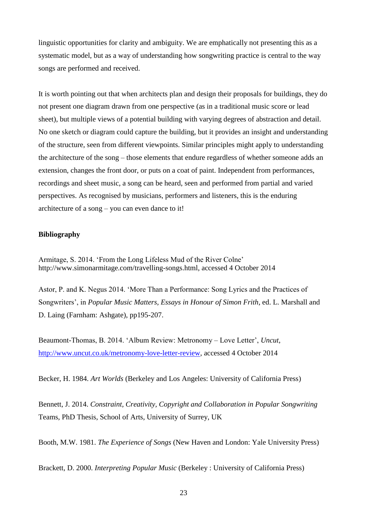linguistic opportunities for clarity and ambiguity. We are emphatically not presenting this as a systematic model, but as a way of understanding how songwriting practice is central to the way songs are performed and received.

It is worth pointing out that when architects plan and design their proposals for buildings, they do not present one diagram drawn from one perspective (as in a traditional music score or lead sheet), but multiple views of a potential building with varying degrees of abstraction and detail. No one sketch or diagram could capture the building, but it provides an insight and understanding of the structure, seen from different viewpoints. Similar principles might apply to understanding the architecture of the song – those elements that endure regardless of whether someone adds an extension, changes the front door, or puts on a coat of paint. Independent from performances, recordings and sheet music, a song can be heard, seen and performed from partial and varied perspectives. As recognised by musicians, performers and listeners, this is the enduring architecture of a song – you can even dance to it!

# **Bibliography**

Armitage, S. 2014. 'From the Long Lifeless Mud of the River Colne' [http://www.simonarmitage.com/travelling-songs.html,](http://www.simonarmitage.com/travelling-songs.html) accessed 4 October 2014

Astor, P. and K. Negus 2014. 'More Than a Performance: Song Lyrics and the Practices of Songwriters', in *Popular Music Matters, Essays in Honour of Simon Frith*, ed. L. Marshall and D. Laing (Farnham: Ashgate), pp195-207.

Beaumont-Thomas, B. 2014. 'Album Review: Metronomy – Love Letter', *Uncut*, [http://www.uncut.co.uk/metronomy-love-letter-review,](http://www.uncut.co.uk/metronomy-love-letter-review) accessed 4 October 2014

Becker, H. 1984. *Art Worlds* (Berkeley and Los Angeles: University of California Press)

Bennett, J. 2014. *Constraint, Creativity, Copyright and Collaboration in Popular Songwriting* Teams, PhD Thesis, School of Arts, University of Surrey, UK

Booth, M.W. 1981. *The Experience of Songs* (New Haven and London: Yale University Press)

Brackett, D. 2000. *Interpreting Popular Music* (Berkeley : University of California Press)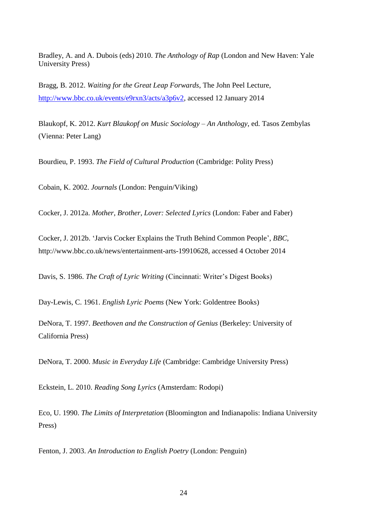Bradley, A. and A. Dubois (eds) 2010. *The Anthology of Rap* (London and New Haven: Yale University Press)

Bragg, B. 2012. *Waiting for the Great Leap Forwards*, The John Peel Lecture, [http://www.bbc.co.uk/events/e9rxn3/acts/a3p6v2,](http://www.bbc.co.uk/events/e9rxn3/acts/a3p6v2) accessed 12 January 2014

Blaukopf, K. 2012. *Kurt Blaukopf on Music Sociology – An Anthology*, ed. Tasos Zembylas (Vienna: Peter Lang)

Bourdieu, P. 1993. *The Field of Cultural Production* (Cambridge: Polity Press)

Cobain, K. 2002. *Journals* (London: Penguin/Viking)

Cocker, J. 2012a. *Mother, Brother, Lover: Selected Lyrics* (London: Faber and Faber)

Cocker, J. 2012b. 'Jarvis Cocker Explains the Truth Behind Common People', *BBC*, [http://www.bbc.co.uk/news/entertainment-arts-19910628,](http://www.bbc.co.uk/news/entertainment-arts-19910628) accessed 4 October 2014

Davis, S. 1986. *The Craft of Lyric Writing* (Cincinnati: Writer's Digest Books)

Day-Lewis, C. 1961. *English Lyric Poems* (New York: Goldentree Books)

DeNora, T. 1997. *Beethoven and the Construction of Genius* (Berkeley: University of California Press)

DeNora, T. 2000. *Music in Everyday Life* (Cambridge: Cambridge University Press)

Eckstein, L. 2010. *Reading Song Lyrics* (Amsterdam: Rodopi)

Eco, U. 1990. *The Limits of Interpretation* (Bloomington and Indianapolis: Indiana University Press)

Fenton, J. 2003. *An Introduction to English Poetry* (London: Penguin)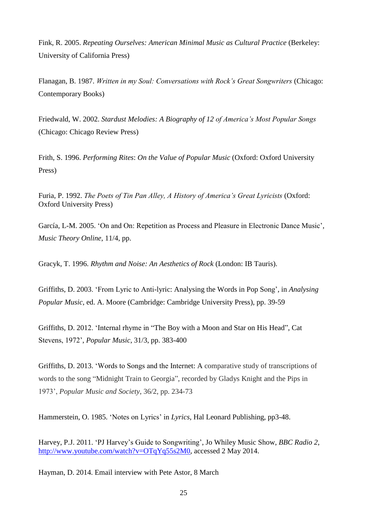Fink, R. 2005. *Repeating Ourselves: American Minimal Music as Cultural Practice* (Berkeley: University of California Press)

Flanagan, B. 1987. *Written in my Soul: Conversations with Rock's Great Songwriters* (Chicago: Contemporary Books)

Friedwald, W. 2002. *Stardust Melodies: A Biography of 12 of America's Most Popular Songs*  (Chicago: Chicago Review Press)

Frith, S. 1996. *Performing Rites*: *On the Value of Popular Music* (Oxford: Oxford University Press)

Furia, P. 1992. *The Poets of Tin Pan Alley, A History of America's Great Lyricists* (Oxford: Oxford University Press)

García, L-M. 2005. 'On and On: Repetition as Process and Pleasure in Electronic Dance Music', *Music Theory Online*, 11/4, pp.

Gracyk, T. 1996. *Rhythm and Noise: An Aesthetics of Rock* (London: IB Tauris).

Griffiths, D. 2003. 'From Lyric to Anti-lyric: Analysing the Words in Pop Song', in *Analysing Popular Music*, ed. A. Moore (Cambridge: Cambridge University Press), pp. 39-59

Griffiths, D. 2012. 'Internal rhyme in "The Boy with a Moon and Star on His Head", Cat Stevens, 1972', *Popular Music*, 31/3, pp. 383-400

Griffiths, D. 2013. 'Words to Songs and the Internet: A comparative study of transcriptions of words to the song "Midnight Train to Georgia", recorded by Gladys Knight and the Pips in 1973', *Popular Music and Society*, 36/2, pp. 234-73

Hammerstein, O. 1985. 'Notes on Lyrics' in *Lyrics*, Hal Leonard Publishing, pp3-48.

Harvey, P.J. 2011. 'PJ Harvey's Guide to Songwriting', Jo Whiley Music Show, *BBC Radio 2*, [http://www.youtube.com/watch?v=OTqYq55s2M0,](http://www.youtube.com/watch?v=OTqYq55s2M0) accessed 2 May 2014.

Hayman, D. 2014. Email interview with Pete Astor, 8 March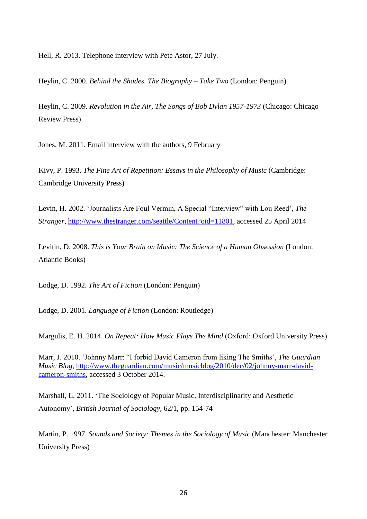Hell, R. 2013. Telephone interview with Pete Astor, 27 July.

Heylin, C. 2000. *Behind the Shades. The Biography – Take Two* (London: Penguin)

Heylin, C. 2009. *Revolution in the Air, The Songs of Bob Dylan 1957-1973* (Chicago: Chicago Review Press)

Jones, M. 2011. Email interview with the authors, 9 February

Kivy, P. 1993. *The Fine Art of Repetition: Essays in the Philosophy of Music* (Cambridge: Cambridge University Press)

Levin, H. 2002. 'Journalists Are Foul Vermin, A Special "Interview" with Lou Reed', *The Stranger*, [http://www.thestranger.com/seattle/Content?oid=11801,](http://www.thestranger.com/seattle/Content?oid=11801) accessed 25 April 2014

Levitin, D. 2008. *This is Your Brain on Music: The Science of a Human Obsession* (London: Atlantic Books)

Lodge, D. 1992. *The Art of Fiction* (London: Penguin)

Lodge, D. 2001. *Language of Fiction* (London: Routledge)

Margulis, E. H. 2014. *On Repeat: How Music Plays The Mind* (Oxford: Oxford University Press)

Marr, J. 2010. 'Johnny Marr: "I forbid David Cameron from liking The Smiths', *The Guardian Music Blog*, [http://www.theguardian.com/music/musicblog/2010/dec/02/johnny-marr-david](http://www.theguardian.com/music/musicblog/2010/dec/02/johnny-marr-david-cameron-smiths)[cameron-smiths,](http://www.theguardian.com/music/musicblog/2010/dec/02/johnny-marr-david-cameron-smiths) accessed 3 October 2014.

Marshall, L. 2011. 'The Sociology of Popular Music, Interdisciplinarity and Aesthetic Autonomy', *British Journal of Sociology*, 62/1, pp. 154-74

Martin, P. 1997. *Sounds and Society: Themes in the Sociology of Music* (Manchester: Manchester University Press)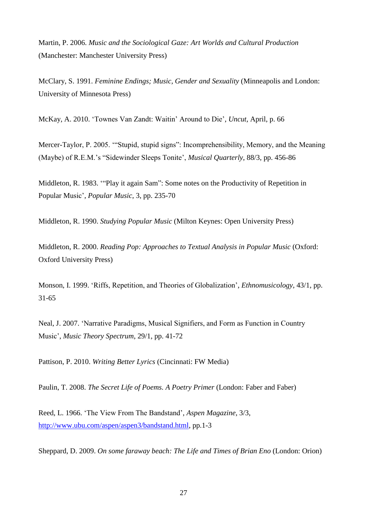Martin, P. 2006. *Music and the Sociological Gaze: Art Worlds and Cultural Production* (Manchester: Manchester University Press)

McClary, S. 1991. *Feminine Endings; Music, Gender and Sexuality* (Minneapolis and London: University of Minnesota Press)

McKay, A. 2010. 'Townes Van Zandt: Waitin' Around to Die', *Uncut*, April, p. 66

Mercer-Taylor, P. 2005. '"Stupid, stupid signs": Incomprehensibility, Memory, and the Meaning (Maybe) of R.E.M.'s "Sidewinder Sleeps Tonite', *Musical Quarterly*, 88/3, pp. 456-86

Middleton, R. 1983. '"Play it again Sam": Some notes on the Productivity of Repetition in Popular Music', *Popular Music*, 3, pp. 235-70

Middleton, R. 1990. *Studying Popular Music* (Milton Keynes: Open University Press)

Middleton, R. 2000. *Reading Pop: Approaches to Textual Analysis in Popular Music* (Oxford: Oxford University Press)

Monson, I. 1999. 'Riffs, Repetition, and Theories of Globalization', *Ethnomusicology*, 43/1, pp. 31-65

Neal, J. 2007. 'Narrative Paradigms, Musical Signifiers, and Form as Function in Country Music', *Music Theory Spectrum*, 29/1, pp. 41-72

Pattison, P. 2010. *Writing Better Lyrics* (Cincinnati: FW Media)

Paulin, T. 2008. *The Secret Life of Poems. A Poetry Primer* (London: Faber and Faber)

Reed, L. 1966. 'The View From The Bandstand', *Aspen Magazine*, 3/3, [http://www.ubu.com/aspen/aspen3/bandstand.html,](http://www.ubu.com/aspen/aspen3/bandstand.html) pp.1-3

Sheppard, D. 2009. *On some faraway beach: The Life and Times of Brian Eno* (London: Orion)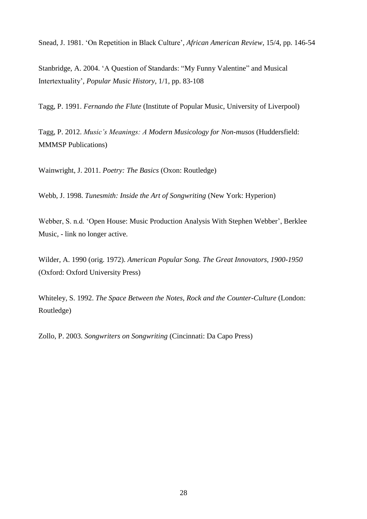Snead, J. 1981. 'On Repetition in Black Culture', *African American Review*, 15/4, pp. 146-54

Stanbridge, A. 2004. 'A Question of Standards: "My Funny Valentine" and Musical Intertextuality', *Popular Music History*, 1/1, pp. 83-108

Tagg, P. 1991. *Fernando the Flute* (Institute of Popular Music, University of Liverpool)

Tagg, P. 2012. *Music's Meanings: A Modern Musicology for Non-musos* (Huddersfield: MMMSP Publications)

Wainwright, J. 2011. *Poetry: The Basics* (Oxon: Routledge)

Webb, J. 1998. *Tunesmith: Inside the Art of Songwriting* (New York: Hyperion)

Webber, S. n.d. 'Open House: Music Production Analysis With Stephen Webber', Berklee Music, - link no longer active.

Wilder, A. 1990 (orig. 1972). *American Popular Song. The Great Innovators, 1900-1950* (Oxford: Oxford University Press)

Whiteley, S. 1992. *The Space Between the Notes, Rock and the Counter-Culture* (London: Routledge)

Zollo, P. 2003. *Songwriters on Songwriting* (Cincinnati: Da Capo Press)